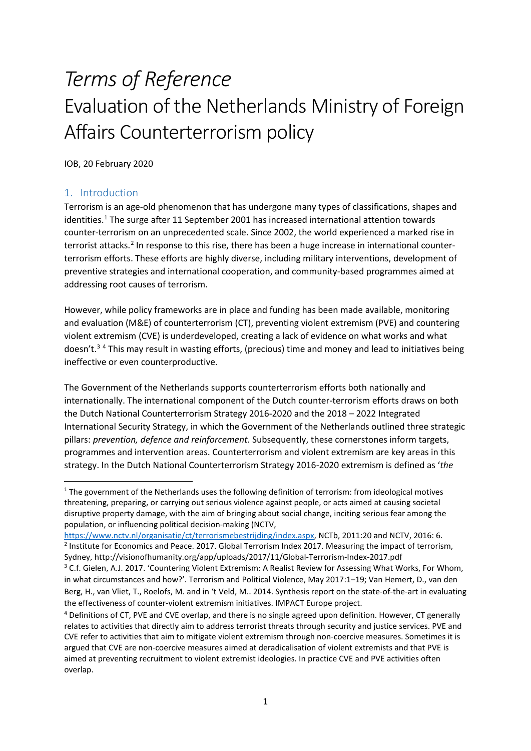# *Terms of Reference* Evaluation of the Netherlands Ministry of Foreign Affairs Counterterrorism policy

IOB, 20 February 2020

# 1. Introduction

Terrorism is an age-old phenomenon that has undergone many types of classifications, shapes and identities.<sup>[1](#page-0-0)</sup> The surge after 11 September 2001 has increased international attention towards counter-terrorism on an unprecedented scale. Since 2002, the world experienced a marked rise in terrorist attacks.<sup>[2](#page-0-1)</sup> In response to this rise, there has been a huge increase in international counterterrorism efforts. These efforts are highly diverse, including military interventions, development of preventive strategies and international cooperation, and community-based programmes aimed at addressing root causes of terrorism.

However, while policy frameworks are in place and funding has been made available, monitoring and evaluation (M&E) of counterterrorism (CT), preventing violent extremism (PVE) and countering violent extremism (CVE) is underdeveloped, creating a lack of evidence on what works and what doesn't.<sup>[3](#page-0-2)</sup> <sup>[4](#page-0-3)</sup> This may result in wasting efforts, (precious) time and money and lead to initiatives being ineffective or even counterproductive.

The Government of the Netherlands supports counterterrorism efforts both nationally and internationally. The international component of the Dutch counter-terrorism efforts draws on both the Dutch National Counterterrorism Strategy 2016-2020 and the 2018 – 2022 Integrated International Security Strategy, in which the Government of the Netherlands outlined three strategic pillars: *prevention, defence and reinforcement*. Subsequently, these cornerstones inform targets, programmes and intervention areas. Counterterrorism and violent extremism are key areas in this strategy. In the Dutch National Counterterrorism Strategy 2016-2020 extremism is defined as '*the* 

<span id="page-0-1"></span>[https://www.nctv.nl/organisatie/ct/terrorismebestrijding/index.aspx,](https://www.nctv.nl/organisatie/ct/terrorismebestrijding/index.aspx) NCTb, 2011:20 and NCTV, 2016: 6.<br><sup>2</sup> Institute for Economics and Peace. 2017. Global Terrorism Index 2017. Measuring the impact of terrorism, Sydney, http://visionofhumanity.org/app/uploads/2017/11/Global-Terrorism-Index-2017.pdf

<span id="page-0-0"></span><sup>&</sup>lt;sup>1</sup> The government of the Netherlands uses the following definition of terrorism: from ideological motives threatening, preparing, or carrying out serious violence against people, or acts aimed at causing societal disruptive property damage, with the aim of bringing about social change, inciting serious fear among the population, or influencing political decision-making (NCTV,

<span id="page-0-2"></span><sup>&</sup>lt;sup>3</sup> C.f. Gielen, A.J. 2017. 'Countering Violent Extremism: A Realist Review for Assessing What Works, For Whom, in what circumstances and how?'. Terrorism and Political Violence, May 2017:1–19; Van Hemert, D., van den Berg, H., van Vliet, T., Roelofs, M. and in 't Veld, M.. 2014. Synthesis report on the state-of-the-art in evaluating the effectiveness of counter-violent extremism initiatives. IMPACT Europe project.

<span id="page-0-3"></span><sup>4</sup> Definitions of CT, PVE and CVE overlap, and there is no single agreed upon definition. However, CT generally relates to activities that directly aim to address terrorist threats through security and justice services. PVE and CVE refer to activities that aim to mitigate violent extremism through non-coercive measures. Sometimes it is argued that CVE are non-coercive measures aimed at deradicalisation of violent extremists and that PVE is aimed at preventing recruitment to violent extremist ideologies. In practice CVE and PVE activities often overlap.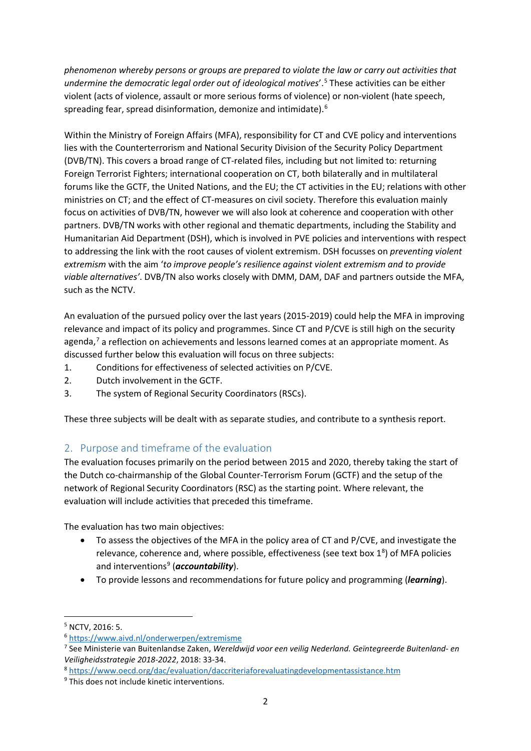*phenomenon whereby persons or groups are prepared to violate the law or carry out activities that undermine the democratic legal order out of ideological motives*'.[5](#page-1-0) These activities can be either violent (acts of violence, assault or more serious forms of violence) or non-violent (hate speech, spreading fear, spread disinformation, demonize and intimidate).[6](#page-1-1)

Within the Ministry of Foreign Affairs (MFA), responsibility for CT and CVE policy and interventions lies with the Counterterrorism and National Security Division of the Security Policy Department (DVB/TN). This covers a broad range of CT-related files, including but not limited to: returning Foreign Terrorist Fighters; international cooperation on CT, both bilaterally and in multilateral forums like the GCTF, the United Nations, and the EU; the CT activities in the EU; relations with other ministries on CT; and the effect of CT-measures on civil society. Therefore this evaluation mainly focus on activities of DVB/TN, however we will also look at coherence and cooperation with other partners. DVB/TN works with other regional and thematic departments, including the Stability and Humanitarian Aid Department (DSH), which is involved in PVE policies and interventions with respect to addressing the link with the root causes of violent extremism. DSH focusses on *preventing violent extremism* with the aim '*to improve people's resilience against violent extremism and to provide viable alternatives'*. DVB/TN also works closely with DMM, DAM, DAF and partners outside the MFA, such as the NCTV.

An evaluation of the pursued policy over the last years (2015-2019) could help the MFA in improving relevance and impact of its policy and programmes. Since CT and P/CVE is still high on the security agenda, $7$  a reflection on achievements and lessons learned comes at an appropriate moment. As discussed further below this evaluation will focus on three subjects:

- 1. Conditions for effectiveness of selected activities on P/CVE.
- 2. Dutch involvement in the GCTF.
- 3. The system of Regional Security Coordinators (RSCs).

These three subjects will be dealt with as separate studies, and contribute to a synthesis report.

# <span id="page-1-5"></span>2. Purpose and timeframe of the evaluation

The evaluation focuses primarily on the period between 2015 and 2020, thereby taking the start of the Dutch co-chairmanship of the Global Counter-Terrorism Forum (GCTF) and the setup of the network of Regional Security Coordinators (RSC) as the starting point. Where relevant, the evaluation will include activities that preceded this timeframe.

The evaluation has two main objectives:

- To assess the objectives of the MFA in the policy area of CT and P/CVE, and investigate the relevance, coherence and, where possible, effectiveness (see text box  $1<sup>8</sup>$  $1<sup>8</sup>$  $1<sup>8</sup>$ ) of MFA policies and interventions<sup>9</sup> (*accountability*).
- To provide lessons and recommendations for future policy and programming (*learning*).

<span id="page-1-0"></span> <sup>5</sup> NCTV, 2016: 5.

<span id="page-1-1"></span><sup>6</sup> <https://www.aivd.nl/onderwerpen/extremisme>

<span id="page-1-2"></span><sup>7</sup> See Ministerie van Buitenlandse Zaken, *Wereldwijd voor een veilig Nederland. Geïntegreerde Buitenland- en Veiligheidsstrategie 2018-2022*, 2018: 33-34.<br><sup>8</sup> <https://www.oecd.org/dac/evaluation/daccriteriaforevaluatingdevelopmentassistance.htm>

<span id="page-1-3"></span>

<span id="page-1-4"></span><sup>&</sup>lt;sup>9</sup> This does not include kinetic interventions.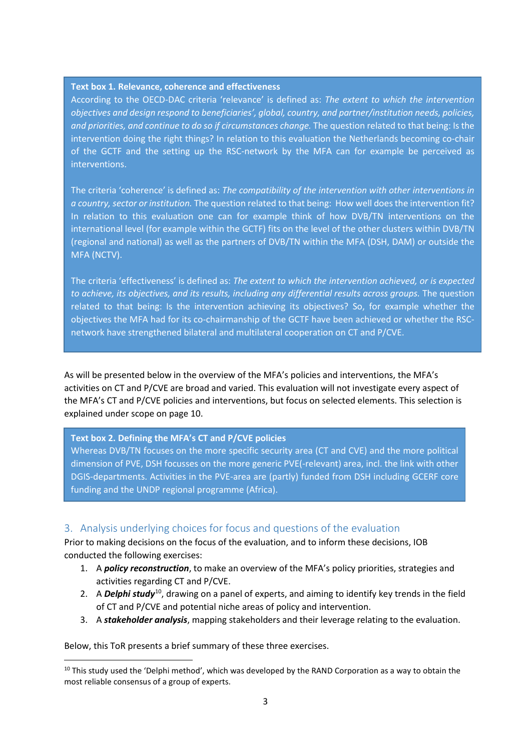#### **Text box 1. Relevance, coherence and effectiveness**

According to the OECD-DAC criteria 'relevance' is defined as: *The extent to which the intervention objectives and design respond to beneficiaries', global, country, and partner/institution needs, policies, and priorities, and continue to do so if circumstances change.* The question related to that being: Is the intervention doing the right things? In relation to this evaluation the Netherlands becoming co-chair of the GCTF and the setting up the RSC-network by the MFA can for example be perceived as interventions.

The criteria 'coherence' is defined as: *The compatibility of the intervention with other interventions in a country, sector or institution.* The question related to that being: How well does the intervention fit? In relation to this evaluation one can for example think of how DVB/TN interventions on the international level (for example within the GCTF) fits on the level of the other clusters within DVB/TN (regional and national) as well as the partners of DVB/TN within the MFA (DSH, DAM) or outside the MFA (NCTV).

The criteria 'effectiveness' is defined as: *The extent to which the intervention achieved, or is expected to achieve, its objectives, and its results, including any differential results across groups.* The question related to that being: Is the intervention achieving its objectives? So, for example whether the objectives the MFA had for its co-chairmanship of the GCTF have been achieved or whether the RSCnetwork have strengthened bilateral and multilateral cooperation on CT and P/CVE.

As will be presented below in the overview of the MFA's policies and interventions, the MFA's activities on CT and P/CVE are broad and varied. This evaluation will not investigate every aspect of the MFA's CT and P/CVE policies and interventions, but focus on selected elements. This selection is explained under scope on pag[e 10.](#page-9-0)

#### **Text box 2. Defining the MFA's CT and P/CVE policies**

Whereas DVB/TN focuses on the more specific security area (CT and CVE) and the more political dimension of PVE, DSH focusses on the more generic PVE(-relevant) area, incl. the link with other DGIS-departments. Activities in the PVE-area are (partly) funded from DSH including GCERF core funding and the UNDP regional programme (Africa).

#### 3. Analysis underlying choices for focus and questions of the evaluation

Prior to making decisions on the focus of the evaluation, and to inform these decisions, IOB conducted the following exercises:

- 1. A *policy reconstruction*, to make an overview of the MFA's policy priorities, strategies and activities regarding CT and P/CVE.
- 2. A *Delphi study*[10](#page-2-0), drawing on a panel of experts, and aiming to identify key trends in the field of CT and P/CVE and potential niche areas of policy and intervention.
- 3. A *stakeholder analysis*, mapping stakeholders and their leverage relating to the evaluation.

Below, this ToR presents a brief summary of these three exercises.

<span id="page-2-0"></span><sup>&</sup>lt;sup>10</sup> This study used the 'Delphi method', which was developed by the RAND Corporation as a way to obtain the most reliable consensus of a group of experts.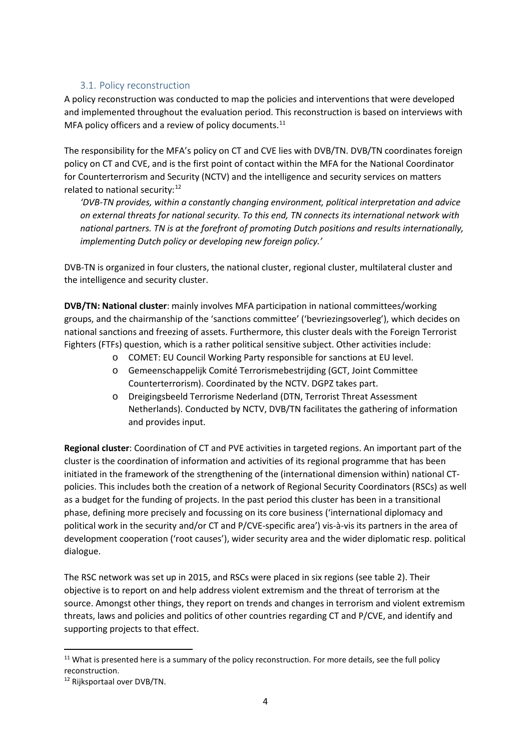# 3.1. Policy reconstruction

<span id="page-3-2"></span>A policy reconstruction was conducted to map the policies and interventions that were developed and implemented throughout the evaluation period. This reconstruction is based on interviews with MFA policy officers and a review of policy documents.<sup>[11](#page-3-0)</sup>

The responsibility for the MFA's policy on CT and CVE lies with DVB/TN. DVB/TN coordinates foreign policy on CT and CVE, and is the first point of contact within the MFA for the National Coordinator for Counterterrorism and Security (NCTV) and the intelligence and security services on matters related to national security:<sup>[12](#page-3-1)</sup>

*'DVB-TN provides, within a constantly changing environment, political interpretation and advice on external threats for national security. To this end, TN connects its international network with national partners. TN is at the forefront of promoting Dutch positions and results internationally, implementing Dutch policy or developing new foreign policy.'*

DVB-TN is organized in four clusters, the national cluster, regional cluster, multilateral cluster and the intelligence and security cluster.

**DVB/TN: National cluster**: mainly involves MFA participation in national committees/working groups, and the chairmanship of the 'sanctions committee' ('bevriezingsoverleg'), which decides on national sanctions and freezing of assets. Furthermore, this cluster deals with the Foreign Terrorist Fighters (FTFs) question, which is a rather political sensitive subject. Other activities include:

- o COMET: EU Council Working Party responsible for sanctions at EU level.
- o Gemeenschappelijk Comité Terrorismebestrijding (GCT, Joint Committee Counterterrorism). Coordinated by the NCTV. DGPZ takes part.
- o Dreigingsbeeld Terrorisme Nederland (DTN, Terrorist Threat Assessment Netherlands). Conducted by NCTV, DVB/TN facilitates the gathering of information and provides input.

**Regional cluster**: Coordination of CT and PVE activities in targeted regions. An important part of the cluster is the coordination of information and activities of its regional programme that has been initiated in the framework of the strengthening of the (international dimension within) national CTpolicies. This includes both the creation of a network of Regional Security Coordinators (RSCs) as well as a budget for the funding of projects. In the past period this cluster has been in a transitional phase, defining more precisely and focussing on its core business ('international diplomacy and political work in the security and/or CT and P/CVE-specific area') vis-à-vis its partners in the area of development cooperation ('root causes'), wider security area and the wider diplomatic resp. political dialogue.

The RSC network was set up in 2015, and RSCs were placed in six regions (see table 2). Their objective is to report on and help address violent extremism and the threat of terrorism at the source. Amongst other things, they report on trends and changes in terrorism and violent extremism threats, laws and policies and politics of other countries regarding CT and P/CVE, and identify and supporting projects to that effect.

<span id="page-3-0"></span><sup>&</sup>lt;sup>11</sup> What is presented here is a summary of the policy reconstruction. For more details, see the full policy reconstruction.

<span id="page-3-1"></span><sup>12</sup> Rijksportaal over DVB/TN.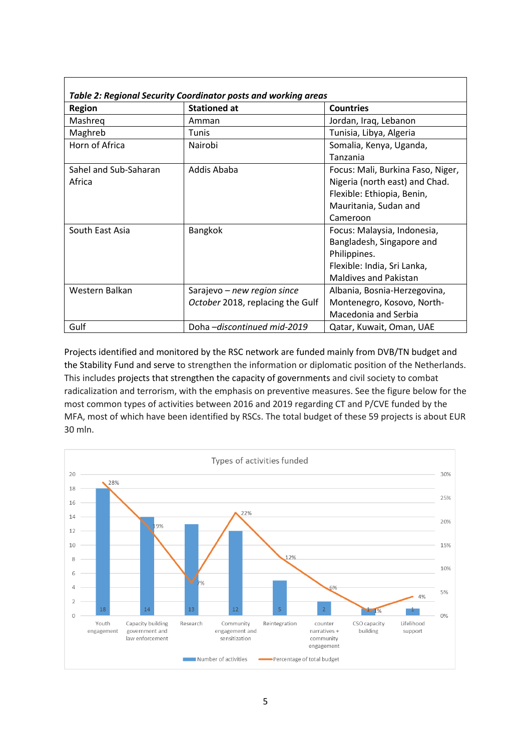| Table 2: Regional Security Coordinator posts and working areas |                                  |                                   |  |  |  |  |  |  |  |  |  |  |
|----------------------------------------------------------------|----------------------------------|-----------------------------------|--|--|--|--|--|--|--|--|--|--|
| <b>Region</b>                                                  | <b>Stationed at</b>              | <b>Countries</b>                  |  |  |  |  |  |  |  |  |  |  |
| Mashreg                                                        | Amman                            | Jordan, Iraq, Lebanon             |  |  |  |  |  |  |  |  |  |  |
| Maghreb                                                        | Tunis                            | Tunisia, Libya, Algeria           |  |  |  |  |  |  |  |  |  |  |
| Horn of Africa                                                 | Nairobi                          | Somalia, Kenya, Uganda,           |  |  |  |  |  |  |  |  |  |  |
|                                                                |                                  | Tanzania                          |  |  |  |  |  |  |  |  |  |  |
| Sahel and Sub-Saharan                                          | Addis Ababa                      | Focus: Mali, Burkina Faso, Niger, |  |  |  |  |  |  |  |  |  |  |
| Africa                                                         |                                  | Nigeria (north east) and Chad.    |  |  |  |  |  |  |  |  |  |  |
|                                                                |                                  | Flexible: Ethiopia, Benin,        |  |  |  |  |  |  |  |  |  |  |
|                                                                |                                  | Mauritania, Sudan and             |  |  |  |  |  |  |  |  |  |  |
|                                                                |                                  | Cameroon                          |  |  |  |  |  |  |  |  |  |  |
| South East Asia                                                | <b>Bangkok</b>                   | Focus: Malaysia, Indonesia,       |  |  |  |  |  |  |  |  |  |  |
|                                                                |                                  | Bangladesh, Singapore and         |  |  |  |  |  |  |  |  |  |  |
|                                                                |                                  | Philippines.                      |  |  |  |  |  |  |  |  |  |  |
|                                                                |                                  | Flexible: India, Sri Lanka,       |  |  |  |  |  |  |  |  |  |  |
|                                                                |                                  | <b>Maldives and Pakistan</b>      |  |  |  |  |  |  |  |  |  |  |
| Western Balkan                                                 | Sarajevo - new region since      | Albania, Bosnia-Herzegovina,      |  |  |  |  |  |  |  |  |  |  |
|                                                                | October 2018, replacing the Gulf | Montenegro, Kosovo, North-        |  |  |  |  |  |  |  |  |  |  |
|                                                                |                                  | Macedonia and Serbia              |  |  |  |  |  |  |  |  |  |  |
| Gulf                                                           | Doha-discontinued mid-2019       | Qatar, Kuwait, Oman, UAE          |  |  |  |  |  |  |  |  |  |  |

Projects identified and monitored by the RSC network are funded mainly from DVB/TN budget and the Stability Fund and serve to strengthen the information or diplomatic position of the Netherlands. This includes projects that strengthen the capacity of governments and civil society to combat radicalization and terrorism, with the emphasis on preventive measures. See the figure below for the most common types of activities between 2016 and 2019 regarding CT and P/CVE funded by the MFA, most of which have been identified by RSCs. The total budget of these 59 projects is about EUR 30 mln.

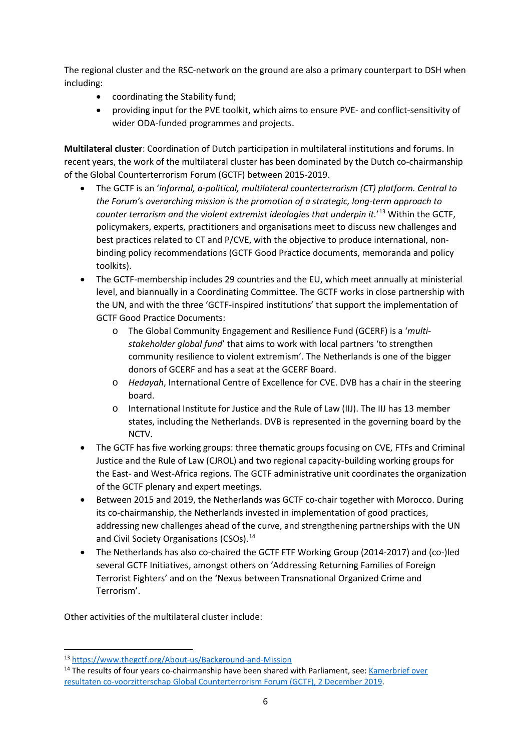The regional cluster and the RSC-network on the ground are also a primary counterpart to DSH when including:

- coordinating the Stability fund;
- providing input for the PVE toolkit, which aims to ensure PVE- and conflict-sensitivity of wider ODA-funded programmes and projects.

**Multilateral cluster**: Coordination of Dutch participation in multilateral institutions and forums. In recent years, the work of the multilateral cluster has been dominated by the Dutch co-chairmanship of the Global Counterterrorism Forum (GCTF) between 2015-2019.

- The GCTF is an '*informal, a-political, multilateral counterterrorism (CT) platform. Central to the Forum's overarching mission is the promotion of a strategic, long-term approach to counter terrorism and the violent extremist ideologies that underpin it.*' [13](#page-5-0) Within the GCTF, policymakers, experts, practitioners and organisations meet to discuss new challenges and best practices related to CT and P/CVE, with the objective to produce international, nonbinding policy recommendations (GCTF Good Practice documents, memoranda and policy toolkits).
- The GCTF-membership includes 29 countries and the EU, which meet annually at ministerial level, and biannually in a Coordinating Committee. The GCTF works in close partnership with the UN, and with the three 'GCTF-inspired institutions' that support the implementation of GCTF Good Practice Documents:
	- o The Global Community Engagement and Resilience Fund (GCERF) is a '*multistakeholder global fund*' that aims to work with local partners 'to strengthen community resilience to violent extremism'. The Netherlands is one of the bigger donors of GCERF and has a seat at the GCERF Board.
	- o *Hedayah*, International Centre of Excellence for CVE. DVB has a chair in the steering board.
	- o International Institute for Justice and the Rule of Law (IIJ). The IIJ has 13 member states, including the Netherlands. DVB is represented in the governing board by the NCTV.
- The GCTF has five working groups: three thematic groups focusing on CVE, FTFs and Criminal Justice and the Rule of Law (CJROL) and two regional capacity-building working groups for the East- and West-Africa regions. The GCTF administrative unit coordinates the organization of the GCTF plenary and expert meetings.
- Between 2015 and 2019, the Netherlands was GCTF co-chair together with Morocco. During its co-chairmanship, the Netherlands invested in implementation of good practices, addressing new challenges ahead of the curve, and strengthening partnerships with the UN and Civil Society Organisations (CSOs).<sup>[14](#page-5-1)</sup>
- The Netherlands has also co-chaired the GCTF FTF Working Group (2014-2017) and (co-)led several GCTF Initiatives, amongst others on 'Addressing Returning Families of Foreign Terrorist Fighters' and on the 'Nexus between Transnational Organized Crime and Terrorism'.

Other activities of the multilateral cluster include:

<span id="page-5-0"></span> <sup>13</sup> <https://www.thegctf.org/About-us/Background-and-Mission>

<span id="page-5-1"></span><sup>&</sup>lt;sup>14</sup> The results of four years co-chairmanship have been shared with Parliament, see: Kamerbrief over [resultaten co-voorzitterschap Global Counterterrorism Forum \(GCTF\), 2 December 2019.](https://www.rijksoverheid.nl/documenten/kamerstukken/2019/12/02/kamerbrief-inzake-resultaten-co-voorzitterschap-global-counterterrorism-forum-gctf)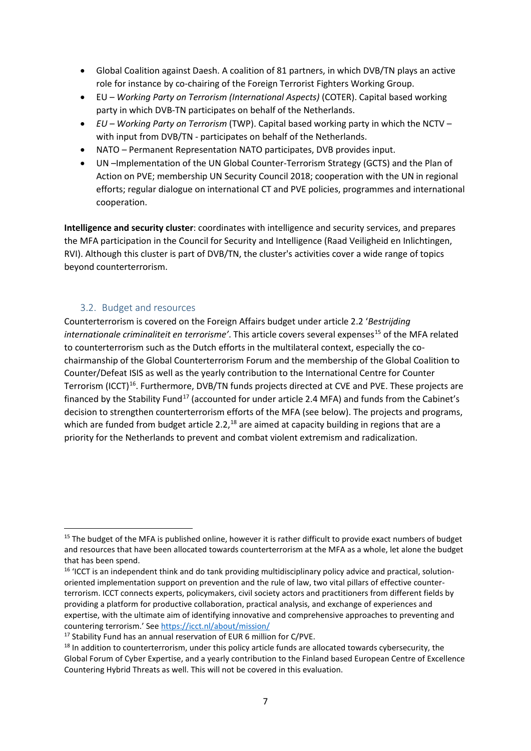- Global Coalition against Daesh. A coalition of 81 partners, in which DVB/TN plays an active role for instance by co-chairing of the Foreign Terrorist Fighters Working Group.
- EU *Working Party on Terrorism (International Aspects)* (COTER). Capital based working party in which DVB-TN participates on behalf of the Netherlands.
- *EU – Working Party on Terrorism* (TWP). Capital based working party in which the NCTV with input from DVB/TN - participates on behalf of the Netherlands.
- NATO Permanent Representation NATO participates, DVB provides input.
- UN –Implementation of the UN Global Counter-Terrorism Strategy (GCTS) and the Plan of Action on PVE; membership UN Security Council 2018; cooperation with the UN in regional efforts; regular dialogue on international CT and PVE policies, programmes and international cooperation.

**Intelligence and security cluster**: coordinates with intelligence and security services, and prepares the MFA participation in the Council for Security and Intelligence (Raad Veiligheid en Inlichtingen, RVI). Although this cluster is part of DVB/TN, the cluster's activities cover a wide range of topics beyond counterterrorism.

#### 3.2. Budget and resources

Counterterrorism is covered on the Foreign Affairs budget under article 2.2 '*Bestrijding internationale criminaliteit en terrorisme'*. This article covers several expenses<sup>[15](#page-6-0)</sup> of the MFA related to counterterrorism such as the Dutch efforts in the multilateral context, especially the cochairmanship of the Global Counterterrorism Forum and the membership of the Global Coalition to Counter/Defeat ISIS as well as the yearly contribution to the International Centre for Counter Terrorism (ICCT)[16](#page-6-1). Furthermore, DVB/TN funds projects directed at CVE and PVE. These projects are financed by the Stability Fund<sup>[17](#page-6-2)</sup> (accounted for under article 2.4 MFA) and funds from the Cabinet's decision to strengthen counterterrorism efforts of the MFA (see below). The projects and programs, which are funded from budget article 2.2,<sup>[18](#page-6-3)</sup> are aimed at capacity building in regions that are a priority for the Netherlands to prevent and combat violent extremism and radicalization.

<span id="page-6-0"></span><sup>&</sup>lt;sup>15</sup> The budget of the MFA is published online, however it is rather difficult to provide exact numbers of budget and resources that have been allocated towards counterterrorism at the MFA as a whole, let alone the budget that has been spend.

<span id="page-6-1"></span><sup>&</sup>lt;sup>16</sup> 'ICCT is an independent think and do tank providing multidisciplinary policy advice and practical, solutionoriented implementation support on prevention and the rule of law, two vital pillars of effective counterterrorism. ICCT connects experts, policymakers, civil society actors and practitioners from different fields by providing a platform for productive collaboration, practical analysis, and exchange of experiences and expertise, with the ultimate aim of identifying innovative and comprehensive approaches to preventing and countering terrorism.' Se[e https://icct.nl/about/mission/](https://icct.nl/about/mission/)

<span id="page-6-2"></span><sup>&</sup>lt;sup>17</sup> Stability Fund has an annual reservation of EUR 6 million for C/PVE.

<span id="page-6-3"></span> $18$  In addition to counterterrorism, under this policy article funds are allocated towards cybersecurity, the Global Forum of Cyber Expertise, and a yearly contribution to the Finland based European Centre of Excellence Countering Hybrid Threats as well. This will not be covered in this evaluation.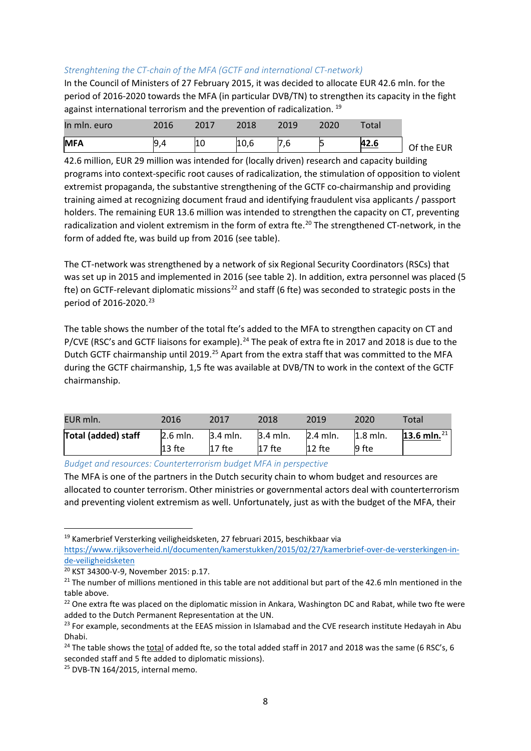# *Strenghtening the CT-chain of the MFA (GCTF and international CT-network)*

In the Council of Ministers of 27 February 2015, it was decided to allocate EUR 42.6 mln. for the period of 2016-2020 towards the MFA (in particular DVB/TN) to strengthen its capacity in the fight against international terrorism and the prevention of radicalization.<sup>[19](#page-7-0)</sup>

| In mln. euro | 2016 | 2017 | 2018 | 2019 | 2020 | $\tau$ otal |            |
|--------------|------|------|------|------|------|-------------|------------|
| <b>MFA</b>   | 19   | LU   | 10,6 |      |      | <u>42.6</u> | Of the EUR |

42.6 million, EUR 29 million was intended for (locally driven) research and capacity building programs into context-specific root causes of radicalization, the stimulation of opposition to violent extremist propaganda, the substantive strengthening of the GCTF co-chairmanship and providing training aimed at recognizing document fraud and identifying fraudulent visa applicants / passport holders. The remaining EUR 13.6 million was intended to strengthen the capacity on CT, preventing radicalization and violent extremism in the form of extra fte.<sup>20</sup> The strengthened CT-network, in the form of added fte, was build up from 2016 (see table).

The CT-network was strengthened by a network of six Regional Security Coordinators (RSCs) that was set up in 2015 and implemented in 2016 (see table 2). In addition, extra personnel was placed (5 fte) on GCTF-relevant diplomatic missions<sup>[22](#page-7-2)</sup> and staff (6 fte) was seconded to strategic posts in the period of 2016-2020. [23](#page-7-3)

The table shows the number of the total fte's added to the MFA to strengthen capacity on CT and P/CVE (RSC's and GCTF liaisons for example).<sup>[24](#page-7-4)</sup> The peak of extra fte in 2017 and 2018 is due to the Dutch GCTF chairmanship until 2019.<sup>[25](#page-7-5)</sup> Apart from the extra staff that was committed to the MFA during the GCTF chairmanship, 1,5 fte was available at DVB/TN to work in the context of the GCTF chairmanship.

| EUR mln.                   | 2016       | 2017       | 2018     | 2019                   | 2020       | Total             |
|----------------------------|------------|------------|----------|------------------------|------------|-------------------|
| <b>Total (added) staff</b> | $2.6$ mln. | $3.4$ mln. | 3.4 mln. | $2.4$ mln.<br>$12$ fte | $1.8$ mln. | 13.6 mln. $^{21}$ |
|                            | $13$ fte   | $17$ fte   | $17$ fte |                        | 9 fte      |                   |

*Budget and resources: Counterterrorism budget MFA in perspective*

The MFA is one of the partners in the Dutch security chain to whom budget and resources are allocated to counter terrorism. Other ministries or governmental actors deal with counterterrorism and preventing violent extremism as well. Unfortunately, just as with the budget of the MFA, their

<span id="page-7-0"></span> <sup>19</sup> Kamerbrief Versterking veiligheidsketen, 27 februari 2015, beschikbaar via

[https://www.rijksoverheid.nl/documenten/kamerstukken/2015/02/27/kamerbrief-over-de-versterkingen-in](https://www.rijksoverheid.nl/documenten/kamerstukken/2015/02/27/kamerbrief-over-de-versterkingen-in-de-veiligheidsketen)[de-veiligheidsketen](https://www.rijksoverheid.nl/documenten/kamerstukken/2015/02/27/kamerbrief-over-de-versterkingen-in-de-veiligheidsketen)

<span id="page-7-6"></span><span id="page-7-1"></span><sup>&</sup>lt;sup>20</sup> KST 34300-V-9, November 2015: p.17.<br><sup>21</sup> The number of millions mentioned in this table are not additional but part of the 42.6 mln mentioned in the table above.

<span id="page-7-2"></span><sup>&</sup>lt;sup>22</sup> One extra fte was placed on the diplomatic mission in Ankara, Washington DC and Rabat, while two fte were added to the Dutch Permanent Representation at the UN.

<span id="page-7-3"></span> $^{23}$  For example, secondments at the EEAS mission in Islamabad and the CVE research institute Hedayah in Abu Dhabi.

<span id="page-7-4"></span><sup>&</sup>lt;sup>24</sup> The table shows the total of added fte, so the total added staff in 2017 and 2018 was the same (6 RSC's, 6 seconded staff and 5 fte added to diplomatic missions).

<span id="page-7-5"></span><sup>&</sup>lt;sup>25</sup> DVB-TN 164/2015, internal memo.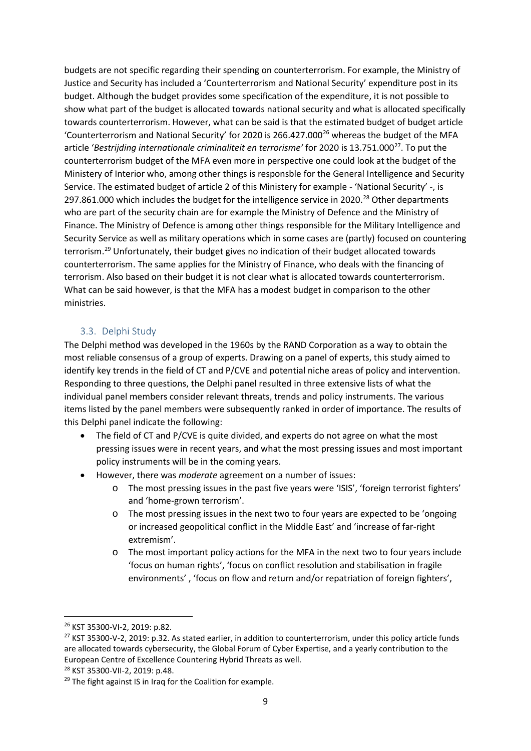budgets are not specific regarding their spending on counterterrorism. For example, the Ministry of Justice and Security has included a 'Counterterrorism and National Security' expenditure post in its budget. Although the budget provides some specification of the expenditure, it is not possible to show what part of the budget is allocated towards national security and what is allocated specifically towards counterterrorism. However, what can be said is that the estimated budget of budget article 'Counterterrorism and National Security' for 2020 is [26](#page-8-0)6.427.000 $^{26}$  whereas the budget of the MFA article '*Bestrijding internationale criminaliteit en terrorisme'* for 2020 is 13.751.000[27.](#page-8-1) To put the counterterrorism budget of the MFA even more in perspective one could look at the budget of the Ministery of Interior who, among other things is responsble for the General Intelligence and Security Service. The estimated budget of article 2 of this Ministery for example - 'National Security' -, is 297.861.000 which includes the budget for the intelligence service in 2020.<sup>[28](#page-8-2)</sup> Other departments who are part of the security chain are for example the Ministry of Defence and the Ministry of Finance. The Ministry of Defence is among other things responsible for the Military Intelligence and Security Service as well as military operations which in some cases are (partly) focused on countering terrorism[.29](#page-8-3) Unfortunately, their budget gives no indication of their budget allocated towards counterterrorism. The same applies for the Ministry of Finance, who deals with the financing of terrorism. Also based on their budget it is not clear what is allocated towards counterterrorism. What can be said however, is that the MFA has a modest budget in comparison to the other ministries.

# 3.3. Delphi Study

The Delphi method was developed in the 1960s by the RAND Corporation as a way to obtain the most reliable consensus of a group of experts. Drawing on a panel of experts, this study aimed to identify key trends in the field of CT and P/CVE and potential niche areas of policy and intervention. Responding to three questions, the Delphi panel resulted in three extensive lists of what the individual panel members consider relevant threats, trends and policy instruments. The various items listed by the panel members were subsequently ranked in order of importance. The results of this Delphi panel indicate the following:

- The field of CT and P/CVE is quite divided, and experts do not agree on what the most pressing issues were in recent years, and what the most pressing issues and most important policy instruments will be in the coming years.
- However, there was *moderate* agreement on a number of issues:
	- o The most pressing issues in the past five years were 'ISIS', 'foreign terrorist fighters' and 'home-grown terrorism'.
	- o The most pressing issues in the next two to four years are expected to be 'ongoing or increased geopolitical conflict in the Middle East' and 'increase of far-right extremism'.
	- o The most important policy actions for the MFA in the next two to four years include 'focus on human rights', 'focus on conflict resolution and stabilisation in fragile environments' , 'focus on flow and return and/or repatriation of foreign fighters',

<span id="page-8-1"></span><span id="page-8-0"></span><sup>&</sup>lt;sup>26</sup> KST 35300-VI-2, 2019: p.82.<br><sup>27</sup> KST 35300-V-2, 2019: p.32. As stated earlier, in addition to counterterrorism, under this policy article funds are allocated towards cybersecurity, the Global Forum of Cyber Expertise, and a yearly contribution to the European Centre of Excellence Countering Hybrid Threats as well.

<span id="page-8-3"></span><span id="page-8-2"></span><sup>&</sup>lt;sup>28</sup> KST 35300-VII-2, 2019: p.48.<br><sup>29</sup> The fight against IS in Iraq for the Coalition for example.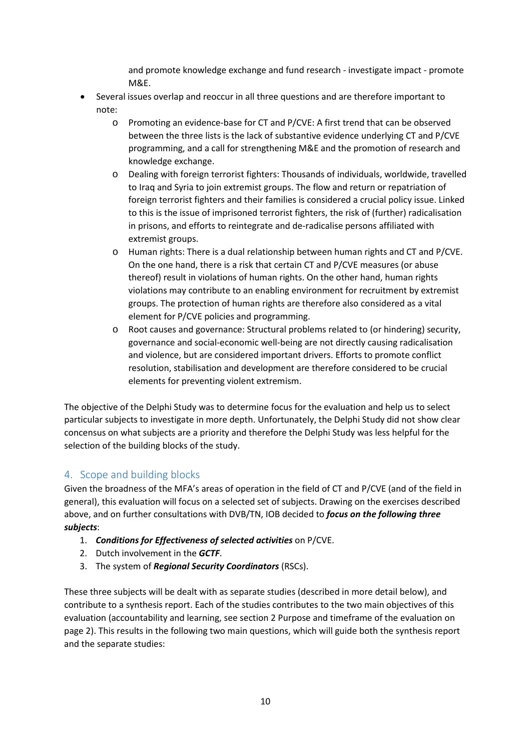and promote knowledge exchange and fund research - investigate impact - promote M&E.

- Several issues overlap and reoccur in all three questions and are therefore important to note:
	- o Promoting an evidence-base for CT and P/CVE: A first trend that can be observed between the three lists is the lack of substantive evidence underlying CT and P/CVE programming, and a call for strengthening M&E and the promotion of research and knowledge exchange.
	- o Dealing with foreign terrorist fighters: Thousands of individuals, worldwide, travelled to Iraq and Syria to join extremist groups. The flow and return or repatriation of foreign terrorist fighters and their families is considered a crucial policy issue. Linked to this is the issue of imprisoned terrorist fighters, the risk of (further) radicalisation in prisons, and efforts to reintegrate and de-radicalise persons affiliated with extremist groups.
	- o Human rights: There is a dual relationship between human rights and CT and P/CVE. On the one hand, there is a risk that certain CT and P/CVE measures (or abuse thereof) result in violations of human rights. On the other hand, human rights violations may contribute to an enabling environment for recruitment by extremist groups. The protection of human rights are therefore also considered as a vital element for P/CVE policies and programming.
	- o Root causes and governance: Structural problems related to (or hindering) security, governance and social-economic well-being are not directly causing radicalisation and violence, but are considered important drivers. Efforts to promote conflict resolution, stabilisation and development are therefore considered to be crucial elements for preventing violent extremism.

The objective of the Delphi Study was to determine focus for the evaluation and help us to select particular subjects to investigate in more depth. Unfortunately, the Delphi Study did not show clear concensus on what subjects are a priority and therefore the Delphi Study was less helpful for the selection of the building blocks of the study.

# <span id="page-9-0"></span>4. Scope and building blocks

Given the broadness of the MFA's areas of operation in the field of CT and P/CVE (and of the field in general), this evaluation will focus on a selected set of subjects. Drawing on the exercises described above, and on further consultations with DVB/TN, IOB decided to *focus on the following three subjects*:

- 1. *Conditions for Effectiveness of selected activities* on P/CVE.
- 2. Dutch involvement in the *GCTF*.
- 3. The system of *Regional Security Coordinators* (RSCs).

These three subjects will be dealt with as separate studies (described in more detail below), and contribute to a synthesis report. Each of the studies contributes to the two main objectives of this evaluation (accountability and learning, see sectio[n 2](#page-1-5) [Purpose and timeframe of the evaluation](#page-1-5) on page [2\)](#page-1-5). This results in the following two main questions, which will guide both the synthesis report and the separate studies: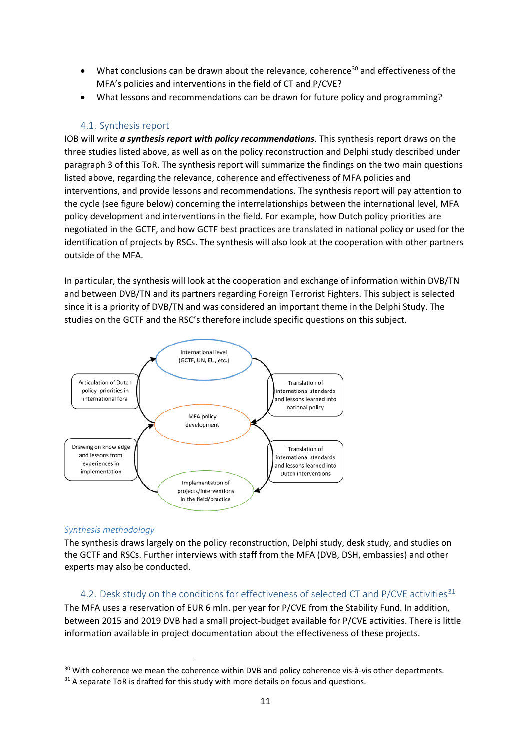- What conclusions can be drawn about the relevance, coherence<sup>[30](#page-10-0)</sup> and effectiveness of the MFA's policies and interventions in the field of CT and P/CVE?
- What lessons and recommendations can be drawn for future policy and programming?

## 4.1. Synthesis report

IOB will write *a synthesis report with policy recommendations*. This synthesis report draws on the three studies listed above, as well as on the policy reconstruction and Delphi study described under paragraph 3 of this ToR. The synthesis report will summarize the findings on the two main questions listed above, regarding the relevance, coherence and effectiveness of MFA policies and interventions, and provide lessons and recommendations. The synthesis report will pay attention to the cycle (see figure below) concerning the interrelationships between the international level, MFA policy development and interventions in the field. For example, how Dutch policy priorities are negotiated in the GCTF, and how GCTF best practices are translated in national policy or used for the identification of projects by RSCs. The synthesis will also look at the cooperation with other partners outside of the MFA.

In particular, the synthesis will look at the cooperation and exchange of information within DVB/TN and between DVB/TN and its partners regarding Foreign Terrorist Fighters. This subject is selected since it is a priority of DVB/TN and was considered an important theme in the Delphi Study. The studies on the GCTF and the RSC's therefore include specific questions on this subject.



#### *Synthesis methodology*

The synthesis draws largely on the policy reconstruction, Delphi study, desk study, and studies on the GCTF and RSCs. Further interviews with staff from the MFA (DVB, DSH, embassies) and other experts may also be conducted.

## 4.2. Desk study on the conditions for effectiveness of selected CT and P/CVE activities<sup>[31](#page-10-1)</sup>

The MFA uses a reservation of EUR 6 mln. per year for P/CVE from the Stability Fund. In addition, between 2015 and 2019 DVB had a small project-budget available for P/CVE activities. There is little information available in project documentation about the effectiveness of these projects.

<span id="page-10-0"></span> $30$  With coherence we mean the coherence within DVB and policy coherence vis-à-vis other departments.<br> $31$  A separate ToR is drafted for this study with more details on focus and questions.

<span id="page-10-1"></span>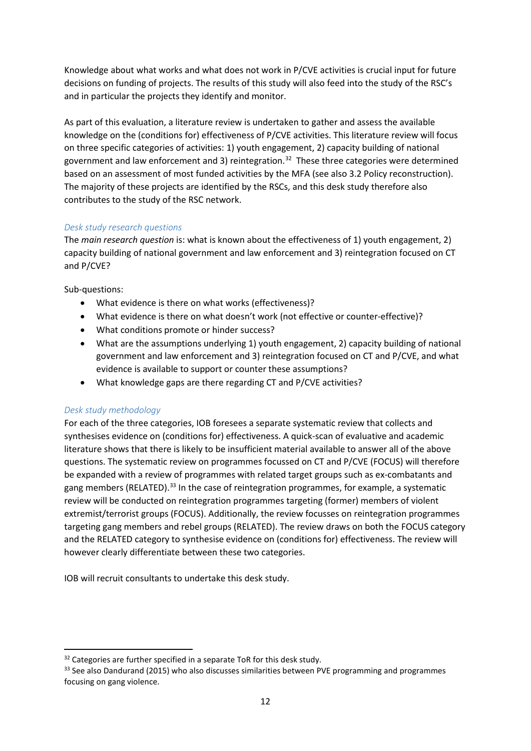Knowledge about what works and what does not work in P/CVE activities is crucial input for future decisions on funding of projects. The results of this study will also feed into the study of the RSC's and in particular the projects they identify and monitor.

As part of this evaluation, a literature review is undertaken to gather and assess the available knowledge on the (conditions for) effectiveness of P/CVE activities. This literature review will focus on three specific categories of activities: 1) youth engagement, 2) capacity building of national government and law enforcement and 3) reintegration.<sup>[32](#page-11-0)</sup> These three categories were determined based on an assessment of most funded activities by the MFA (see als[o 3.2](#page-3-2) [Policy reconstruction\)](#page-3-2). The majority of these projects are identified by the RSCs, and this desk study therefore also contributes to the study of the RSC network.

## *Desk study research questions*

The *main research question* is: what is known about the effectiveness of 1) youth engagement, 2) capacity building of national government and law enforcement and 3) reintegration focused on CT and P/CVE?

Sub-questions:

- What evidence is there on what works (effectiveness)?
- What evidence is there on what doesn't work (not effective or counter-effective)?
- What conditions promote or hinder success?
- What are the assumptions underlying 1) youth engagement, 2) capacity building of national government and law enforcement and 3) reintegration focused on CT and P/CVE, and what evidence is available to support or counter these assumptions?
- What knowledge gaps are there regarding CT and P/CVE activities?

# *Desk study methodology*

For each of the three categories, IOB foresees a separate systematic review that collects and synthesises evidence on (conditions for) effectiveness. A quick-scan of evaluative and academic literature shows that there is likely to be insufficient material available to answer all of the above questions. The systematic review on programmes focussed on CT and P/CVE (FOCUS) will therefore be expanded with a review of programmes with related target groups such as ex-combatants and gang members (RELATED).<sup>[33](#page-11-1)</sup> In the case of reintegration programmes, for example, a systematic review will be conducted on reintegration programmes targeting (former) members of violent extremist/terrorist groups (FOCUS). Additionally, the review focusses on reintegration programmes targeting gang members and rebel groups (RELATED). The review draws on both the FOCUS category and the RELATED category to synthesise evidence on (conditions for) effectiveness. The review will however clearly differentiate between these two categories.

IOB will recruit consultants to undertake this desk study.

<span id="page-11-0"></span><sup>&</sup>lt;sup>32</sup> Categories are further specified in a separate ToR for this desk study.

<span id="page-11-1"></span><sup>&</sup>lt;sup>33</sup> See also Dandurand (2015) who also discusses similarities between PVE programming and programmes focusing on gang violence.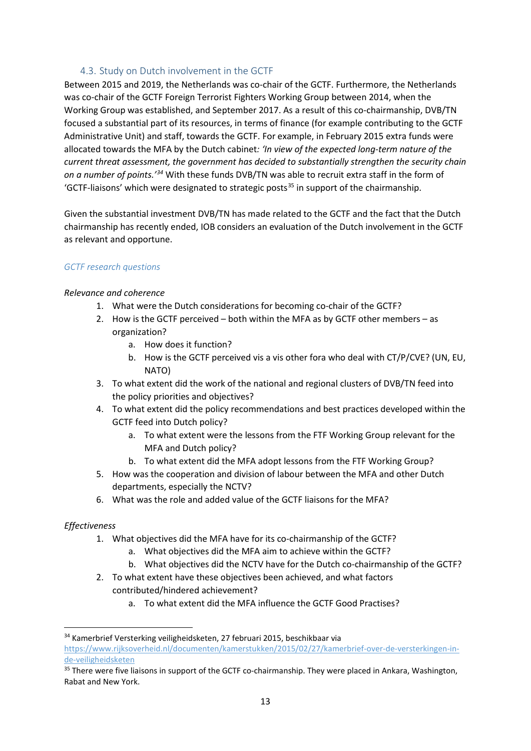# 4.3. Study on Dutch involvement in the GCTF

Between 2015 and 2019, the Netherlands was co-chair of the GCTF. Furthermore, the Netherlands was co-chair of the GCTF Foreign Terrorist Fighters Working Group between 2014, when the Working Group was established, and September 2017. As a result of this co-chairmanship, DVB/TN focused a substantial part of its resources, in terms of finance (for example contributing to the GCTF Administrative Unit) and staff, towards the GCTF. For example, in February 2015 extra funds were allocated towards the MFA by the Dutch cabinet*: 'In view of the expected long-term nature of the current threat assessment, the government has decided to substantially strengthen the security chain on a number of points.'[34](#page-12-0)* With these funds DVB/TN was able to recruit extra staff in the form of 'GCTF-liaisons' which were designated to strategic posts<sup>[35](#page-12-1)</sup> in support of the chairmanship.

Given the substantial investment DVB/TN has made related to the GCTF and the fact that the Dutch chairmanship has recently ended, IOB considers an evaluation of the Dutch involvement in the GCTF as relevant and opportune.

## *GCTF research questions*

#### *Relevance and coherence*

- 1. What were the Dutch considerations for becoming co-chair of the GCTF?
- 2. How is the GCTF perceived both within the MFA as by GCTF other members as organization?
	- a. How does it function?
	- b. How is the GCTF perceived vis a vis other fora who deal with CT/P/CVE? (UN, EU, NATO)
- 3. To what extent did the work of the national and regional clusters of DVB/TN feed into the policy priorities and objectives?
- 4. To what extent did the policy recommendations and best practices developed within the GCTF feed into Dutch policy?
	- a. To what extent were the lessons from the FTF Working Group relevant for the MFA and Dutch policy?
	- b. To what extent did the MFA adopt lessons from the FTF Working Group?
- 5. How was the cooperation and division of labour between the MFA and other Dutch departments, especially the NCTV?
- 6. What was the role and added value of the GCTF liaisons for the MFA?

## *Effectiveness*

- 1. What objectives did the MFA have for its co-chairmanship of the GCTF?
	- a. What objectives did the MFA aim to achieve within the GCTF?
	- b. What objectives did the NCTV have for the Dutch co-chairmanship of the GCTF?
- 2. To what extent have these objectives been achieved, and what factors contributed/hindered achievement?
	- a. To what extent did the MFA influence the GCTF Good Practises?

<span id="page-12-0"></span> <sup>34</sup> Kamerbrief Versterking veiligheidsketen, 27 februari 2015, beschikbaar via [https://www.rijksoverheid.nl/documenten/kamerstukken/2015/02/27/kamerbrief-over-de-versterkingen-in](https://www.rijksoverheid.nl/documenten/kamerstukken/2015/02/27/kamerbrief-over-de-versterkingen-in-de-veiligheidsketen)[de-veiligheidsketen](https://www.rijksoverheid.nl/documenten/kamerstukken/2015/02/27/kamerbrief-over-de-versterkingen-in-de-veiligheidsketen)

<span id="page-12-1"></span><sup>&</sup>lt;sup>35</sup> There were five liaisons in support of the GCTF co-chairmanship. They were placed in Ankara, Washington, Rabat and New York.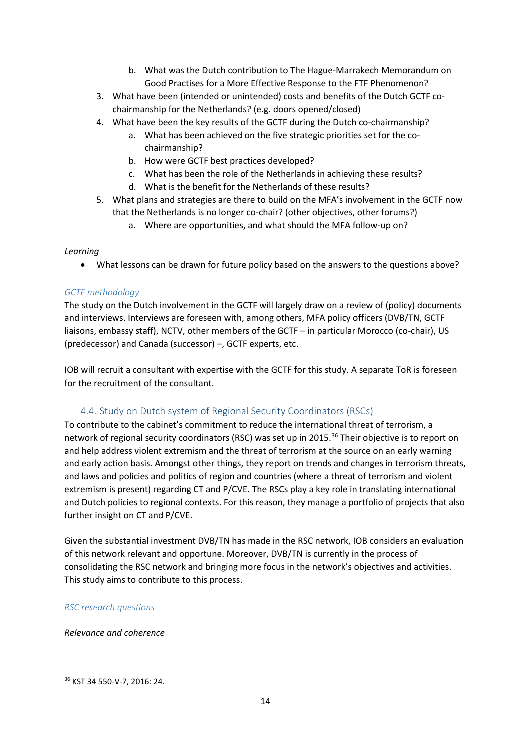- b. What was the Dutch contribution to The Hague-Marrakech Memorandum on Good Practises for a More Effective Response to the FTF Phenomenon?
- 3. What have been (intended or unintended) costs and benefits of the Dutch GCTF cochairmanship for the Netherlands? (e.g. doors opened/closed)
- 4. What have been the key results of the GCTF during the Dutch co-chairmanship?
	- a. What has been achieved on the five strategic priorities set for the cochairmanship?
	- b. How were GCTF best practices developed?
	- c. What has been the role of the Netherlands in achieving these results?
	- d. What is the benefit for the Netherlands of these results?
- 5. What plans and strategies are there to build on the MFA's involvement in the GCTF now that the Netherlands is no longer co-chair? (other objectives, other forums?)
	- a. Where are opportunities, and what should the MFA follow-up on?

#### *Learning*

• What lessons can be drawn for future policy based on the answers to the questions above?

## *GCTF methodology*

The study on the Dutch involvement in the GCTF will largely draw on a review of (policy) documents and interviews. Interviews are foreseen with, among others, MFA policy officers (DVB/TN, GCTF liaisons, embassy staff), NCTV, other members of the GCTF – in particular Morocco (co-chair), US (predecessor) and Canada (successor) –, GCTF experts, etc.

IOB will recruit a consultant with expertise with the GCTF for this study. A separate ToR is foreseen for the recruitment of the consultant.

# 4.4. Study on Dutch system of Regional Security Coordinators (RSCs)

To contribute to the cabinet's commitment to reduce the international threat of terrorism, a network of regional security coordinators (RSC) was set up in 2015.<sup>[36](#page-13-0)</sup> Their objective is to report on and help address violent extremism and the threat of terrorism at the source on an early warning and early action basis. Amongst other things, they report on trends and changes in terrorism threats, and laws and policies and politics of region and countries (where a threat of terrorism and violent extremism is present) regarding CT and P/CVE. The RSCs play a key role in translating international and Dutch policies to regional contexts. For this reason, they manage a portfolio of projects that also further insight on CT and P/CVE.

Given the substantial investment DVB/TN has made in the RSC network, IOB considers an evaluation of this network relevant and opportune. Moreover, DVB/TN is currently in the process of consolidating the RSC network and bringing more focus in the network's objectives and activities. This study aims to contribute to this process.

## *RSC research questions*

*Relevance and coherence*

<span id="page-13-0"></span> <sup>36</sup> KST 34 550-V-7, 2016: 24.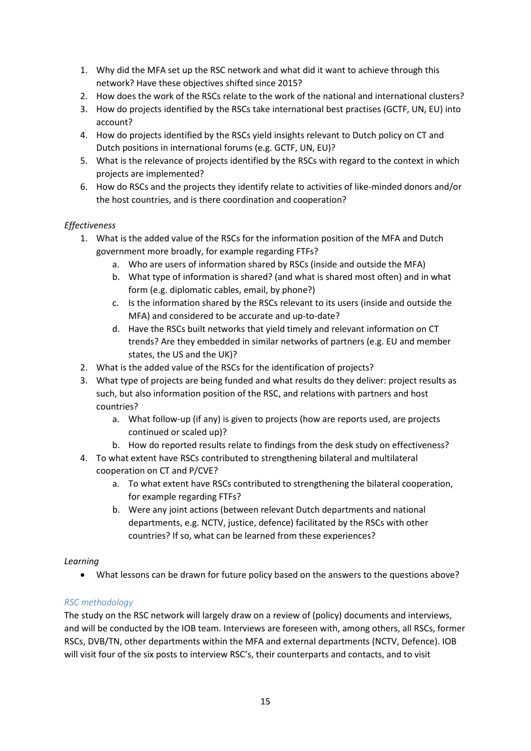- 1. Why did the MFA set up the RSC network and what did it want to achieve through this network? Have these objectives shifted since 2015?
- 2. How does the work of the RSCs relate to the work of the national and international clusters?
- 3. How do projects identified by the RSCs take international best practises (GCTF, UN, EU) into account?
- 4. How do projects identified by the RSCs yield insights relevant to Dutch policy on CT and Dutch positions in international forums (e.g. GCTF, UN, EU)?
- 5. What is the relevance of projects identified by the RSCs with regard to the context in which projects are implemented?
- 6. How do RSCs and the projects they identify relate to activities of like-minded donors and/or the host countries, and is there coordination and cooperation?

# *Effectiveness*

- 1. What is the added value of the RSCs for the information position of the MFA and Dutch government more broadly, for example regarding FTFs?
	- a. Who are users of information shared by RSCs (inside and outside the MFA)
	- b. What type of information is shared? (and what is shared most often) and in what form (e.g. diplomatic cables, email, by phone?)
	- c. Is the information shared by the RSCs relevant to its users (inside and outside the MFA) and considered to be accurate and up-to-date?
	- d. Have the RSCs built networks that yield timely and relevant information on CT trends? Are they embedded in similar networks of partners (e.g. EU and member states, the US and the UK)?
- 2. What is the added value of the RSCs for the identification of projects?
- 3. What type of projects are being funded and what results do they deliver: project results as such, but also information position of the RSC, and relations with partners and host countries?
	- a. What follow-up (if any) is given to projects (how are reports used, are projects continued or scaled up)?
	- b. How do reported results relate to findings from the desk study on effectiveness?
- 4. To what extent have RSCs contributed to strengthening bilateral and multilateral cooperation on CT and P/CVE?
	- a. To what extent have RSCs contributed to strengthening the bilateral cooperation, for example regarding FTFs?
	- b. Were any joint actions (between relevant Dutch departments and national departments, e.g. NCTV, justice, defence) facilitated by the RSCs with other countries? If so, what can be learned from these experiences?

## *Learning*

• What lessons can be drawn for future policy based on the answers to the questions above?

# *RSC methodology*

The study on the RSC network will largely draw on a review of (policy) documents and interviews, and will be conducted by the IOB team. Interviews are foreseen with, among others, all RSCs, former RSCs, DVB/TN, other departments within the MFA and external departments (NCTV, Defence). IOB will visit four of the six posts to interview RSC's, their counterparts and contacts, and to visit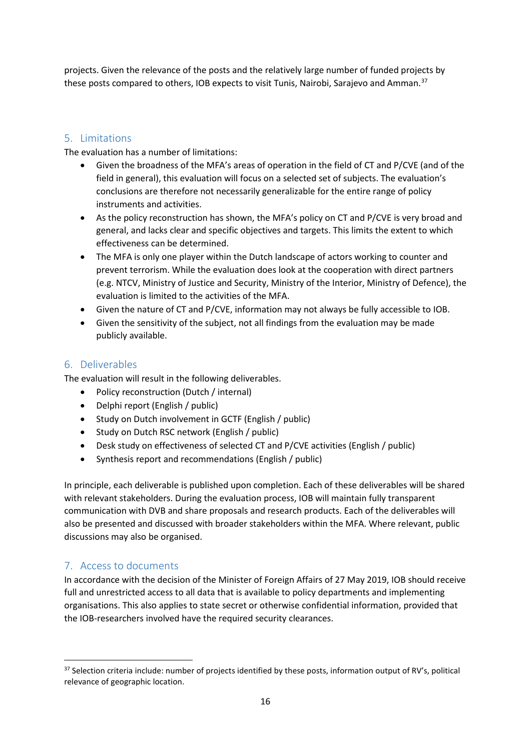projects. Given the relevance of the posts and the relatively large number of funded projects by these posts compared to others, IOB expects to visit Tunis, Nairobi, Sarajevo and Amman.<sup>[37](#page-15-0)</sup>

# 5. Limitations

The evaluation has a number of limitations:

- Given the broadness of the MFA's areas of operation in the field of CT and P/CVE (and of the field in general), this evaluation will focus on a selected set of subjects. The evaluation's conclusions are therefore not necessarily generalizable for the entire range of policy instruments and activities.
- As the policy reconstruction has shown, the MFA's policy on CT and P/CVE is very broad and general, and lacks clear and specific objectives and targets. This limits the extent to which effectiveness can be determined.
- The MFA is only one player within the Dutch landscape of actors working to counter and prevent terrorism. While the evaluation does look at the cooperation with direct partners (e.g. NTCV, Ministry of Justice and Security, Ministry of the Interior, Ministry of Defence), the evaluation is limited to the activities of the MFA.
- Given the nature of CT and P/CVE, information may not always be fully accessible to IOB.
- Given the sensitivity of the subject, not all findings from the evaluation may be made publicly available.

# 6. Deliverables

The evaluation will result in the following deliverables.

- Policy reconstruction (Dutch / internal)
- Delphi report (English / public)
- Study on Dutch involvement in GCTF (English / public)
- Study on Dutch RSC network (English / public)
- Desk study on effectiveness of selected CT and P/CVE activities (English / public)
- Synthesis report and recommendations (English / public)

In principle, each deliverable is published upon completion. Each of these deliverables will be shared with relevant stakeholders. During the evaluation process, IOB will maintain fully transparent communication with DVB and share proposals and research products. Each of the deliverables will also be presented and discussed with broader stakeholders within the MFA. Where relevant, public discussions may also be organised.

# 7. Access to documents

In accordance with the decision of the Minister of Foreign Affairs of 27 May 2019, IOB should receive full and unrestricted access to all data that is available to policy departments and implementing organisations. This also applies to state secret or otherwise confidential information, provided that the IOB-researchers involved have the required security clearances.

<span id="page-15-0"></span><sup>&</sup>lt;sup>37</sup> Selection criteria include: number of projects identified by these posts, information output of RV's, political relevance of geographic location.